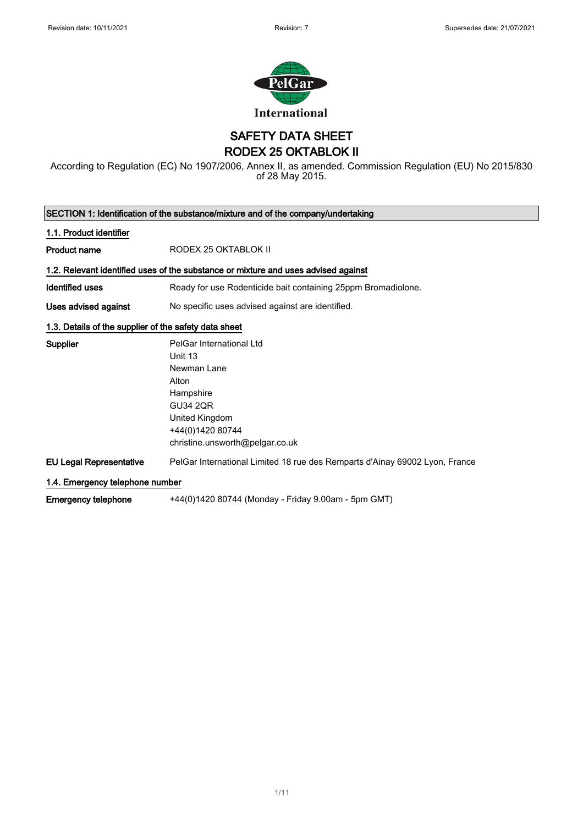

SAFETY DATA SHEET RODEX 25 OKTABLOK II

According to Regulation (EC) No 1907/2006, Annex II, as amended. Commission Regulation (EU) No 2015/830 of 28 May 2015.

| SECTION 1: Identification of the substance/mixture and of the company/undertaking |                                                                                                                                                                      |  |
|-----------------------------------------------------------------------------------|----------------------------------------------------------------------------------------------------------------------------------------------------------------------|--|
| 1.1. Product identifier                                                           |                                                                                                                                                                      |  |
| <b>Product name</b>                                                               | RODEX 25 OKTABLOK II                                                                                                                                                 |  |
|                                                                                   | 1.2. Relevant identified uses of the substance or mixture and uses advised against                                                                                   |  |
| <b>Identified uses</b>                                                            | Ready for use Rodenticide bait containing 25ppm Bromadiolone.                                                                                                        |  |
| Uses advised against                                                              | No specific uses advised against are identified.                                                                                                                     |  |
| 1.3. Details of the supplier of the safety data sheet                             |                                                                                                                                                                      |  |
| <b>Supplier</b>                                                                   | PelGar International Ltd<br>Unit 13<br>Newman Lane<br>Alton<br>Hampshire<br><b>GU34 2QR</b><br>United Kingdom<br>+44(0)1420 80744<br>christine.unsworth@pelgar.co.uk |  |
| <b>EU Legal Representative</b>                                                    | PelGar International Limited 18 rue des Remparts d'Ainay 69002 Lyon, France                                                                                          |  |
| 1.4. Emergency telephone number                                                   |                                                                                                                                                                      |  |
| <b>Emergency telephone</b>                                                        | +44(0)1420 80744 (Monday - Friday 9.00am - 5pm GMT)                                                                                                                  |  |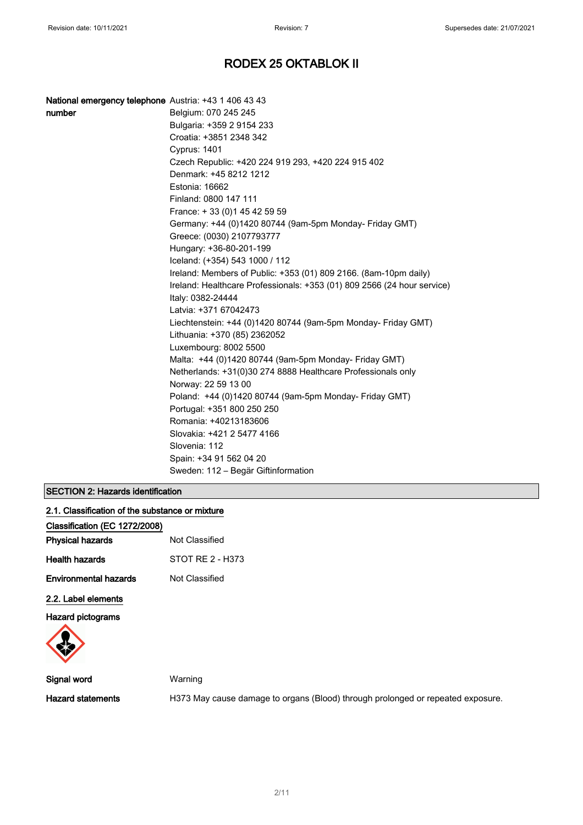| National emergency telephone Austria: +43 1 406 43 43 |                                                                         |
|-------------------------------------------------------|-------------------------------------------------------------------------|
| number                                                | Belgium: 070 245 245                                                    |
|                                                       | Bulgaria: +359 2 9154 233                                               |
|                                                       | Croatia: +3851 2348 342                                                 |
|                                                       | <b>Cyprus: 1401</b>                                                     |
|                                                       | Czech Republic: +420 224 919 293, +420 224 915 402                      |
|                                                       | Denmark: +45 8212 1212                                                  |
|                                                       | Estonia: 16662                                                          |
|                                                       | Finland: 0800 147 111                                                   |
|                                                       | France: +33 (0) 145 42 59 59                                            |
|                                                       | Germany: +44 (0)1420 80744 (9am-5pm Monday- Friday GMT)                 |
|                                                       | Greece: (0030) 2107793777                                               |
|                                                       | Hungary: +36-80-201-199                                                 |
|                                                       | Iceland: (+354) 543 1000 / 112                                          |
|                                                       | Ireland: Members of Public: +353 (01) 809 2166. (8am-10pm daily)        |
|                                                       | Ireland: Healthcare Professionals: +353 (01) 809 2566 (24 hour service) |
|                                                       | Italy: 0382-24444                                                       |
|                                                       | Latvia: +371 67042473                                                   |
|                                                       | Liechtenstein: +44 (0)1420 80744 (9am-5pm Monday- Friday GMT)           |
|                                                       | Lithuania: +370 (85) 2362052                                            |
|                                                       | Luxembourg: 8002 5500                                                   |
|                                                       | Malta: +44 (0)1420 80744 (9am-5pm Monday- Friday GMT)                   |
|                                                       | Netherlands: +31(0)30 274 8888 Healthcare Professionals only            |
|                                                       | Norway: 22 59 13 00                                                     |
|                                                       | Poland: +44 (0)1420 80744 (9am-5pm Monday- Friday GMT)                  |
|                                                       | Portugal: +351 800 250 250                                              |
|                                                       | Romania: +40213183606                                                   |
|                                                       | Slovakia: +421 2 5477 4166                                              |
|                                                       | Slovenia: 112                                                           |
|                                                       | Spain: +34 91 562 04 20                                                 |
|                                                       | Sweden: 112 - Begär Giftinformation                                     |

### SECTION 2: Hazards identification

| 2.1. Classification of the substance or mixture |  |  |
|-------------------------------------------------|--|--|
|                                                 |  |  |

| Classification (EC 1272/2008) |                  |
|-------------------------------|------------------|
| <b>Physical hazards</b>       | Not Classified   |
| <b>Health hazards</b>         | STOT RE 2 - H373 |
| Environmental hazards         | Not Classified   |
| 2.2. Label elements           |                  |

Hazard pictograms



Signal word Warning

Hazard statements **H373 May cause damage to organs (Blood)** through prolonged or repeated exposure.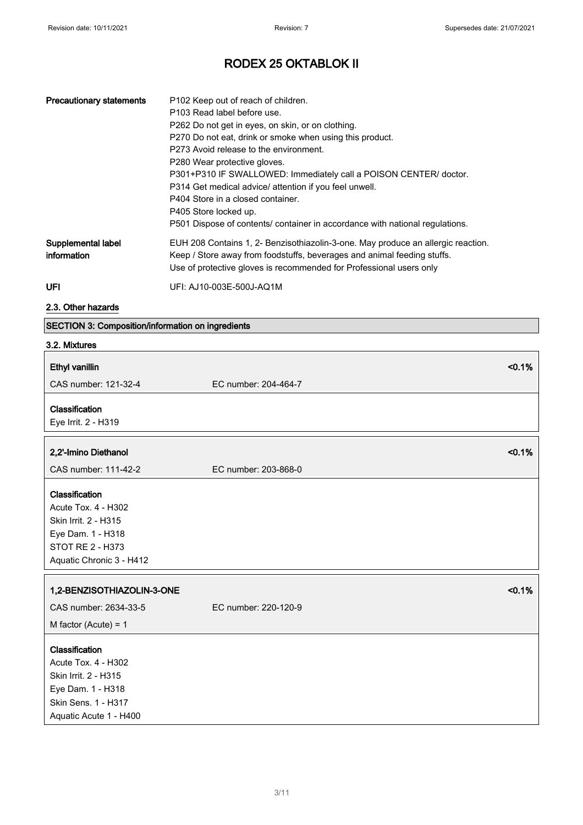| <b>Precautionary statements</b>   | P102 Keep out of reach of children.<br>P103 Read label before use.<br>P262 Do not get in eyes, on skin, or on clothing.<br>P270 Do not eat, drink or smoke when using this product.<br>P273 Avoid release to the environment.<br>P280 Wear protective gloves.<br>P301+P310 IF SWALLOWED: Immediately call a POISON CENTER/ doctor.<br>P314 Get medical advice/ attention if you feel unwell.<br>P404 Store in a closed container.<br>P405 Store locked up.<br>P501 Dispose of contents/ container in accordance with national regulations. |
|-----------------------------------|--------------------------------------------------------------------------------------------------------------------------------------------------------------------------------------------------------------------------------------------------------------------------------------------------------------------------------------------------------------------------------------------------------------------------------------------------------------------------------------------------------------------------------------------|
| Supplemental label<br>information | EUH 208 Contains 1, 2- Benzisothiazolin-3-one. May produce an allergic reaction.<br>Keep / Store away from foodstuffs, beverages and animal feeding stuffs.<br>Use of protective gloves is recommended for Professional users only                                                                                                                                                                                                                                                                                                         |
| UFI                               | UFI: AJ10-003E-500J-AQ1M                                                                                                                                                                                                                                                                                                                                                                                                                                                                                                                   |

2.3. Other hazards

### SECTION 3: Composition/information on ingredients

| 3.2. Mixtures                                                                                                                       |                      |
|-------------------------------------------------------------------------------------------------------------------------------------|----------------------|
| Ethyl vanillin                                                                                                                      | < 0.1%               |
| CAS number: 121-32-4                                                                                                                | EC number: 204-464-7 |
| Classification<br>Eye Irrit. 2 - H319                                                                                               |                      |
| 2,2'-Imino Diethanol                                                                                                                | < 0.1%               |
| CAS number: 111-42-2                                                                                                                | EC number: 203-868-0 |
| Classification<br>Acute Tox. 4 - H302<br>Skin Irrit. 2 - H315<br>Eye Dam. 1 - H318<br>STOT RE 2 - H373<br>Aquatic Chronic 3 - H412  |                      |
| 1,2-BENZISOTHIAZOLIN-3-ONE                                                                                                          | < 0.1%               |
| CAS number: 2634-33-5                                                                                                               | EC number: 220-120-9 |
| M factor (Acute) = $1$                                                                                                              |                      |
| Classification<br>Acute Tox. 4 - H302<br>Skin Irrit. 2 - H315<br>Eye Dam. 1 - H318<br>Skin Sens. 1 - H317<br>Aquatic Acute 1 - H400 |                      |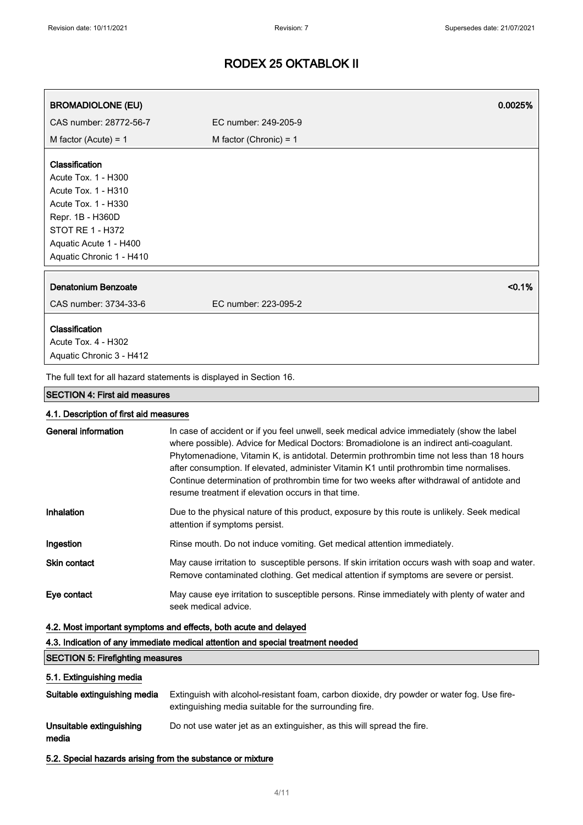| <b>BROMADIOLONE (EU)</b>                                            |                          | 0.0025%   |
|---------------------------------------------------------------------|--------------------------|-----------|
| CAS number: 28772-56-7                                              | EC number: 249-205-9     |           |
| M factor (Acute) = $1$                                              | M factor (Chronic) = $1$ |           |
| Classification                                                      |                          |           |
| Acute Tox. 1 - H300                                                 |                          |           |
| Acute Tox. 1 - H310                                                 |                          |           |
| Acute Tox. 1 - H330                                                 |                          |           |
| Repr. 1B - H360D                                                    |                          |           |
| <b>STOT RE 1 - H372</b>                                             |                          |           |
| Aquatic Acute 1 - H400                                              |                          |           |
| Aquatic Chronic 1 - H410                                            |                          |           |
| Denatonium Benzoate                                                 |                          | $< 0.1\%$ |
| CAS number: 3734-33-6                                               | EC number: 223-095-2     |           |
| Classification                                                      |                          |           |
| Acute Tox. 4 - H302                                                 |                          |           |
| Aquatic Chronic 3 - H412                                            |                          |           |
| The full text for all hazard statements is displayed in Section 16. |                          |           |

#### SECTION 4: First aid measures

### 4.1. Description of first aid measures

| General information | In case of accident or if you feel unwell, seek medical advice immediately (show the label<br>where possible). Advice for Medical Doctors: Bromadiolone is an indirect anti-coaqulant.<br>Phytomenadione, Vitamin K, is antidotal. Determin prothrombin time not less than 18 hours<br>after consumption. If elevated, administer Vitamin K1 until prothrombin time normalises.<br>Continue determination of prothrombin time for two weeks after withdrawal of antidote and<br>resume treatment if elevation occurs in that time. |
|---------------------|------------------------------------------------------------------------------------------------------------------------------------------------------------------------------------------------------------------------------------------------------------------------------------------------------------------------------------------------------------------------------------------------------------------------------------------------------------------------------------------------------------------------------------|
| Inhalation          | Due to the physical nature of this product, exposure by this route is unlikely. Seek medical<br>attention if symptoms persist.                                                                                                                                                                                                                                                                                                                                                                                                     |
| Ingestion           | Rinse mouth. Do not induce vomiting. Get medical attention immediately.                                                                                                                                                                                                                                                                                                                                                                                                                                                            |
| <b>Skin contact</b> | May cause irritation to susceptible persons. If skin irritation occurs wash with soap and water.<br>Remove contaminated clothing. Get medical attention if symptoms are severe or persist.                                                                                                                                                                                                                                                                                                                                         |
| Eye contact         | May cause eye irritation to susceptible persons. Rinse immediately with plenty of water and<br>seek medical advice.                                                                                                                                                                                                                                                                                                                                                                                                                |

### 4.2. Most important symptoms and effects, both acute and delayed

4.3. Indication of any immediate medical attention and special treatment needed

#### SECTION 5: Firefighting measures

#### 5.1. Extinguishing media

| Suitable extinguishing media      | Extinguish with alcohol-resistant foam, carbon dioxide, dry powder or water fog. Use fire-<br>extinguishing media suitable for the surrounding fire. |
|-----------------------------------|------------------------------------------------------------------------------------------------------------------------------------------------------|
| Unsuitable extinguishing<br>media | Do not use water jet as an extinguisher, as this will spread the fire.                                                                               |

5.2. Special hazards arising from the substance or mixture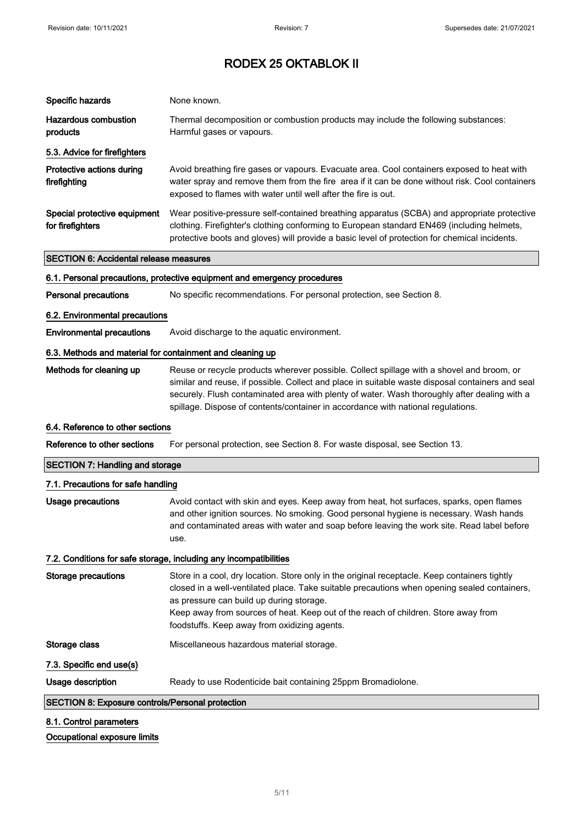| Specific hazards                                          | None known.                                                                                                                                                                                                                                                                                                                                                                       |
|-----------------------------------------------------------|-----------------------------------------------------------------------------------------------------------------------------------------------------------------------------------------------------------------------------------------------------------------------------------------------------------------------------------------------------------------------------------|
| <b>Hazardous combustion</b><br>products                   | Thermal decomposition or combustion products may include the following substances:<br>Harmful gases or vapours.                                                                                                                                                                                                                                                                   |
| 5.3. Advice for firefighters                              |                                                                                                                                                                                                                                                                                                                                                                                   |
| Protective actions during<br>firefighting                 | Avoid breathing fire gases or vapours. Evacuate area. Cool containers exposed to heat with<br>water spray and remove them from the fire area if it can be done without risk. Cool containers<br>exposed to flames with water until well after the fire is out.                                                                                                                    |
| Special protective equipment<br>for firefighters          | Wear positive-pressure self-contained breathing apparatus (SCBA) and appropriate protective<br>clothing. Firefighter's clothing conforming to European standard EN469 (including helmets,<br>protective boots and gloves) will provide a basic level of protection for chemical incidents.                                                                                        |
| <b>SECTION 6: Accidental release measures</b>             |                                                                                                                                                                                                                                                                                                                                                                                   |
|                                                           | 6.1. Personal precautions, protective equipment and emergency procedures                                                                                                                                                                                                                                                                                                          |
| <b>Personal precautions</b>                               | No specific recommendations. For personal protection, see Section 8.                                                                                                                                                                                                                                                                                                              |
| 6.2. Environmental precautions                            |                                                                                                                                                                                                                                                                                                                                                                                   |
| <b>Environmental precautions</b>                          | Avoid discharge to the aquatic environment.                                                                                                                                                                                                                                                                                                                                       |
| 6.3. Methods and material for containment and cleaning up |                                                                                                                                                                                                                                                                                                                                                                                   |
| Methods for cleaning up                                   | Reuse or recycle products wherever possible. Collect spillage with a shovel and broom, or<br>similar and reuse, if possible. Collect and place in suitable waste disposal containers and seal<br>securely. Flush contaminated area with plenty of water. Wash thoroughly after dealing with a<br>spillage. Dispose of contents/container in accordance with national regulations. |
| 6.4. Reference to other sections                          |                                                                                                                                                                                                                                                                                                                                                                                   |
|                                                           |                                                                                                                                                                                                                                                                                                                                                                                   |
| Reference to other sections                               | For personal protection, see Section 8. For waste disposal, see Section 13.                                                                                                                                                                                                                                                                                                       |
| <b>SECTION 7: Handling and storage</b>                    |                                                                                                                                                                                                                                                                                                                                                                                   |
| 7.1. Precautions for safe handling                        |                                                                                                                                                                                                                                                                                                                                                                                   |
| Usage precautions                                         | Avoid contact with skin and eyes. Keep away from heat, hot surfaces, sparks, open flames<br>and other ignition sources. No smoking. Good personal hygiene is necessary. Wash hands<br>and contaminated areas with water and soap before leaving the work site. Read label before<br>use.                                                                                          |
|                                                           | 7.2. Conditions for safe storage, including any incompatibilities                                                                                                                                                                                                                                                                                                                 |
| <b>Storage precautions</b>                                | Store in a cool, dry location. Store only in the original receptacle. Keep containers tightly<br>closed in a well-ventilated place. Take suitable precautions when opening sealed containers,<br>as pressure can build up during storage.<br>Keep away from sources of heat. Keep out of the reach of children. Store away from<br>foodstuffs. Keep away from oxidizing agents.   |
| Storage class                                             | Miscellaneous hazardous material storage.                                                                                                                                                                                                                                                                                                                                         |
| 7.3. Specific end use(s)                                  |                                                                                                                                                                                                                                                                                                                                                                                   |
| Usage description                                         | Ready to use Rodenticide bait containing 25ppm Bromadiolone.                                                                                                                                                                                                                                                                                                                      |
| SECTION 8: Exposure controls/Personal protection          |                                                                                                                                                                                                                                                                                                                                                                                   |

Occupational exposure limits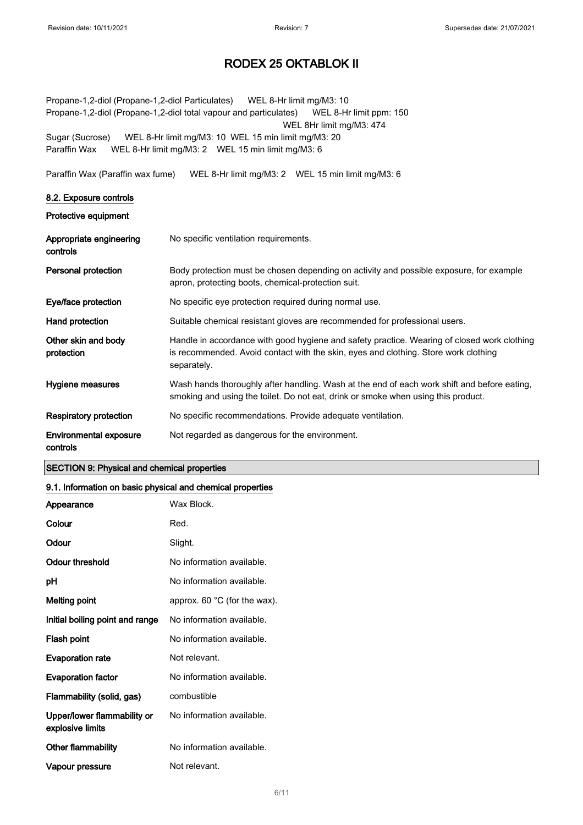Propane-1,2-diol (Propane-1,2-diol Particulates) WEL 8-Hr limit mg/M3: 10 Propane-1,2-diol (Propane-1,2-diol total vapour and particulates) WEL 8-Hr limit ppm: 150 WEL 8Hr limit mg/M3: 474 Sugar (Sucrose) WEL 8-Hr limit mg/M3: 10 WEL 15 min limit mg/M3: 20 Paraffin Wax WEL 8-Hr limit mg/M3: 2 WEL 15 min limit mg/M3: 6

Paraffin Wax (Paraffin wax fume) WEL 8-Hr limit mg/M3: 2 WEL 15 min limit mg/M3: 6

#### 8.2. Exposure controls

Protective equipment

| Appropriate engineering<br>controls | No specific ventilation requirements.                                                                                                                                                             |
|-------------------------------------|---------------------------------------------------------------------------------------------------------------------------------------------------------------------------------------------------|
| Personal protection                 | Body protection must be chosen depending on activity and possible exposure, for example<br>apron, protecting boots, chemical-protection suit.                                                     |
| Eye/face protection                 | No specific eye protection required during normal use.                                                                                                                                            |
| Hand protection                     | Suitable chemical resistant gloves are recommended for professional users.                                                                                                                        |
| Other skin and body<br>protection   | Handle in accordance with good hygiene and safety practice. Wearing of closed work clothing<br>is recommended. Avoid contact with the skin, eyes and clothing. Store work clothing<br>separately. |
| Hygiene measures                    | Wash hands thoroughly after handling. Wash at the end of each work shift and before eating,<br>smoking and using the toilet. Do not eat, drink or smoke when using this product.                  |
| Respiratory protection              | No specific recommendations. Provide adequate ventilation.                                                                                                                                        |
| Environmental exposure<br>controls  | Not regarded as dangerous for the environment.                                                                                                                                                    |

#### SECTION 9: Physical and chemical properties

#### 9.1. Information on basic physical and chemical properties

| Appearance                                      | Wax Block.                             |
|-------------------------------------------------|----------------------------------------|
| Colour                                          | Red.                                   |
| Odour                                           | Slight.                                |
| Odour threshold                                 | No information available.              |
| рH                                              | No information available.              |
| Melting point                                   | approx. 60 $^{\circ}$ C (for the wax). |
| Initial boiling point and range                 | No information available.              |
| Flash point                                     | No information available.              |
| <b>Evaporation rate</b>                         | Not relevant.                          |
| <b>Evaporation factor</b>                       | No information available.              |
| Flammability (solid, gas)                       | combustible                            |
| Upper/lower flammability or<br>explosive limits | No information available.              |
| <b>Other flammability</b>                       | No information available.              |
| Vapour pressure                                 | Not relevant.                          |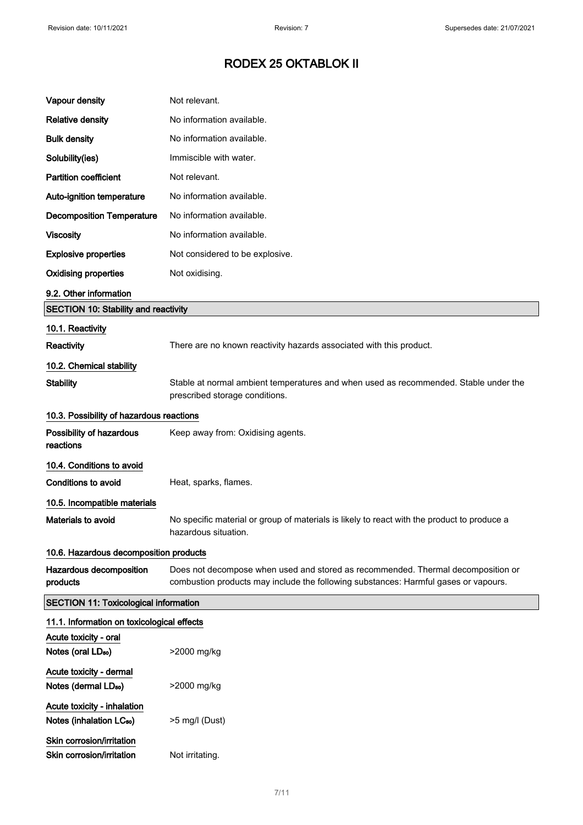| Vapour density                                                      | Not relevant.                                                                                                                                                           |  |
|---------------------------------------------------------------------|-------------------------------------------------------------------------------------------------------------------------------------------------------------------------|--|
| <b>Relative density</b>                                             | No information available.                                                                                                                                               |  |
| <b>Bulk density</b>                                                 | No information available.                                                                                                                                               |  |
| Solubility(ies)                                                     | Immiscible with water.                                                                                                                                                  |  |
| <b>Partition coefficient</b>                                        | Not relevant.                                                                                                                                                           |  |
| Auto-ignition temperature                                           | No information available.                                                                                                                                               |  |
| <b>Decomposition Temperature</b>                                    | No information available.                                                                                                                                               |  |
| <b>Viscosity</b>                                                    | No information available.                                                                                                                                               |  |
| <b>Explosive properties</b>                                         | Not considered to be explosive.                                                                                                                                         |  |
| <b>Oxidising properties</b>                                         | Not oxidising.                                                                                                                                                          |  |
| 9.2. Other information                                              |                                                                                                                                                                         |  |
| <b>SECTION 10: Stability and reactivity</b>                         |                                                                                                                                                                         |  |
| 10.1. Reactivity                                                    |                                                                                                                                                                         |  |
| Reactivity                                                          | There are no known reactivity hazards associated with this product.                                                                                                     |  |
| 10.2. Chemical stability                                            |                                                                                                                                                                         |  |
| <b>Stability</b>                                                    | Stable at normal ambient temperatures and when used as recommended. Stable under the<br>prescribed storage conditions.                                                  |  |
| 10.3. Possibility of hazardous reactions                            |                                                                                                                                                                         |  |
| Possibility of hazardous<br>reactions                               | Keep away from: Oxidising agents.                                                                                                                                       |  |
| 10.4. Conditions to avoid                                           |                                                                                                                                                                         |  |
| <b>Conditions to avoid</b>                                          | Heat, sparks, flames.                                                                                                                                                   |  |
| 10.5. Incompatible materials                                        |                                                                                                                                                                         |  |
| Materials to avoid                                                  | No specific material or group of materials is likely to react with the product to produce a<br>hazardous situation.                                                     |  |
| 10.6. Hazardous decomposition products                              |                                                                                                                                                                         |  |
| Hazardous decomposition<br>products                                 | Does not decompose when used and stored as recommended. Thermal decomposition or<br>combustion products may include the following substances: Harmful gases or vapours. |  |
| <b>SECTION 11: Toxicological information</b>                        |                                                                                                                                                                         |  |
| 11.1. Information on toxicological effects                          |                                                                                                                                                                         |  |
| Acute toxicity - oral<br>Notes (oral LD <sub>50</sub> )             | >2000 mg/kg                                                                                                                                                             |  |
| Acute toxicity - dermal<br>Notes (dermal LD <sub>50</sub> )         | >2000 mg/kg                                                                                                                                                             |  |
| Acute toxicity - inhalation<br>Notes (inhalation LC <sub>50</sub> ) | $>5$ mg/l (Dust)                                                                                                                                                        |  |
| Skin corrosion/irritation<br>Skin corrosion/irritation              | Not irritating.                                                                                                                                                         |  |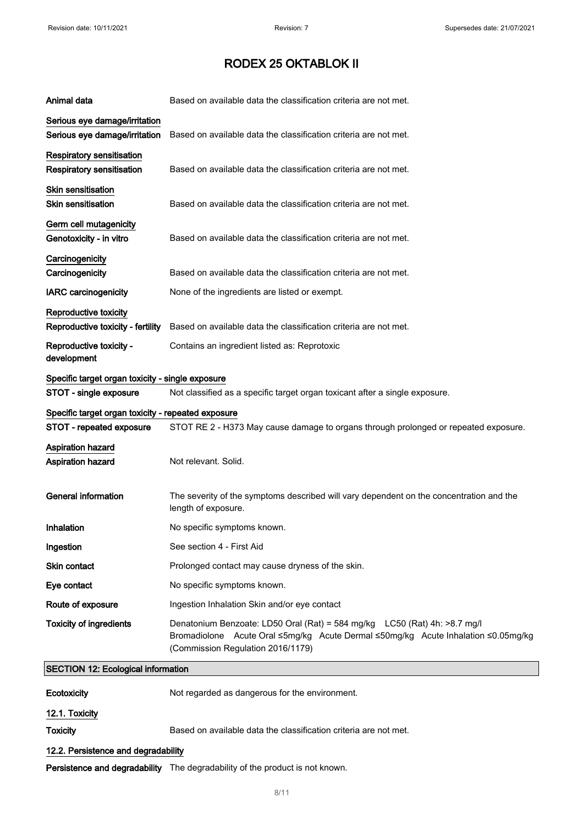| Animal data                                                    | Based on available data the classification criteria are not met.                                                                                                                                     |  |
|----------------------------------------------------------------|------------------------------------------------------------------------------------------------------------------------------------------------------------------------------------------------------|--|
| Serious eye damage/irritation<br>Serious eye damage/irritation | Based on available data the classification criteria are not met.                                                                                                                                     |  |
| Respiratory sensitisation<br>Respiratory sensitisation         | Based on available data the classification criteria are not met.                                                                                                                                     |  |
| <b>Skin sensitisation</b><br><b>Skin sensitisation</b>         | Based on available data the classification criteria are not met.                                                                                                                                     |  |
| Germ cell mutagenicity<br>Genotoxicity - in vitro              | Based on available data the classification criteria are not met.                                                                                                                                     |  |
| Carcinogenicity<br>Carcinogenicity                             | Based on available data the classification criteria are not met.                                                                                                                                     |  |
| <b>IARC</b> carcinogenicity                                    | None of the ingredients are listed or exempt.                                                                                                                                                        |  |
| Reproductive toxicity                                          |                                                                                                                                                                                                      |  |
| Reproductive toxicity - fertility                              | Based on available data the classification criteria are not met.                                                                                                                                     |  |
| Reproductive toxicity -<br>development                         | Contains an ingredient listed as: Reprotoxic                                                                                                                                                         |  |
| Specific target organ toxicity - single exposure               |                                                                                                                                                                                                      |  |
| STOT - single exposure                                         | Not classified as a specific target organ toxicant after a single exposure.                                                                                                                          |  |
| Specific target organ toxicity - repeated exposure             |                                                                                                                                                                                                      |  |
| STOT - repeated exposure                                       | STOT RE 2 - H373 May cause damage to organs through prolonged or repeated exposure.                                                                                                                  |  |
| Aspiration hazard<br>Aspiration hazard                         | Not relevant. Solid.                                                                                                                                                                                 |  |
| <b>General information</b>                                     | The severity of the symptoms described will vary dependent on the concentration and the<br>length of exposure.                                                                                       |  |
| Inhalation                                                     | No specific symptoms known.                                                                                                                                                                          |  |
| Ingestion                                                      | See section 4 - First Aid                                                                                                                                                                            |  |
| Skin contact                                                   | Prolonged contact may cause dryness of the skin.                                                                                                                                                     |  |
| Eye contact                                                    | No specific symptoms known.                                                                                                                                                                          |  |
| Route of exposure                                              | Ingestion Inhalation Skin and/or eye contact                                                                                                                                                         |  |
| <b>Toxicity of ingredients</b>                                 | Denatonium Benzoate: LD50 Oral (Rat) = 584 mg/kg  LC50 (Rat) 4h: >8.7 mg/l<br>Bromadiolone Acute Oral ≤5mg/kg Acute Dermal ≤50mg/kg Acute Inhalation ≤0.05mg/kg<br>(Commission Regulation 2016/1179) |  |
| <b>SECTION 12: Ecological information</b>                      |                                                                                                                                                                                                      |  |
| Ecotoxicity                                                    | Not regarded as dangerous for the environment.                                                                                                                                                       |  |
| 12.1. Toxicity                                                 |                                                                                                                                                                                                      |  |
| <b>Toxicity</b>                                                | Based on available data the classification criteria are not met.                                                                                                                                     |  |
| 12.2. Persistence and degradability                            |                                                                                                                                                                                                      |  |

Persistence and degradability The degradability of the product is not known.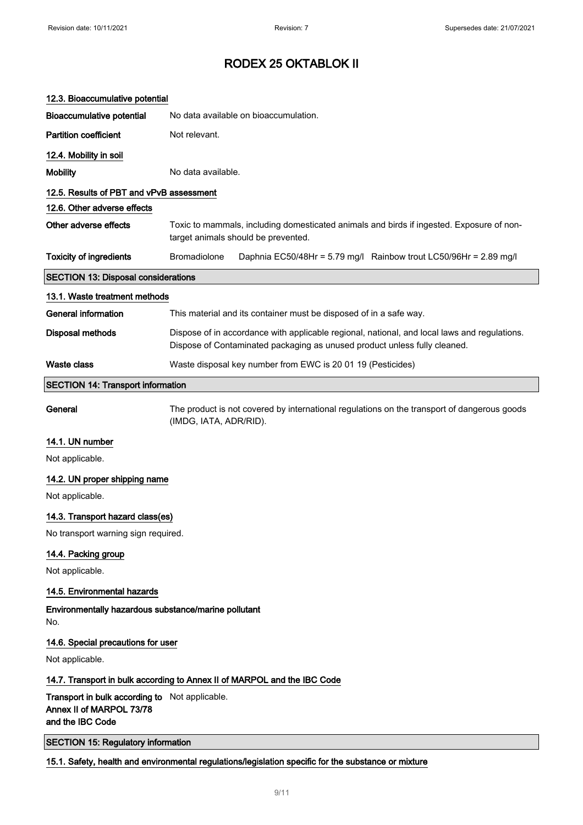| 12.3. Bioaccumulative potential                                                                |                                                                                                                                                                           |  |
|------------------------------------------------------------------------------------------------|---------------------------------------------------------------------------------------------------------------------------------------------------------------------------|--|
| <b>Bioaccumulative potential</b>                                                               | No data available on bioaccumulation.                                                                                                                                     |  |
| <b>Partition coefficient</b>                                                                   | Not relevant.                                                                                                                                                             |  |
| 12.4. Mobility in soil                                                                         |                                                                                                                                                                           |  |
| <b>Mobility</b>                                                                                | No data available.                                                                                                                                                        |  |
| 12.5. Results of PBT and vPvB assessment                                                       |                                                                                                                                                                           |  |
| 12.6. Other adverse effects                                                                    |                                                                                                                                                                           |  |
| Other adverse effects                                                                          | Toxic to mammals, including domesticated animals and birds if ingested. Exposure of non-<br>target animals should be prevented.                                           |  |
| <b>Toxicity of ingredients</b>                                                                 | <b>Bromadiolone</b><br>Daphnia EC50/48Hr = 5.79 mg/l Rainbow trout LC50/96Hr = 2.89 mg/l                                                                                  |  |
| <b>SECTION 13: Disposal considerations</b>                                                     |                                                                                                                                                                           |  |
| 13.1. Waste treatment methods                                                                  |                                                                                                                                                                           |  |
| <b>General information</b>                                                                     | This material and its container must be disposed of in a safe way.                                                                                                        |  |
| <b>Disposal methods</b>                                                                        | Dispose of in accordance with applicable regional, national, and local laws and regulations.<br>Dispose of Contaminated packaging as unused product unless fully cleaned. |  |
| <b>Waste class</b>                                                                             | Waste disposal key number from EWC is 20 01 19 (Pesticides)                                                                                                               |  |
| <b>SECTION 14: Transport information</b>                                                       |                                                                                                                                                                           |  |
| General                                                                                        | The product is not covered by international regulations on the transport of dangerous goods<br>(IMDG, IATA, ADR/RID).                                                     |  |
| 14.1. UN number                                                                                |                                                                                                                                                                           |  |
| Not applicable.                                                                                |                                                                                                                                                                           |  |
| 14.2. UN proper shipping name                                                                  |                                                                                                                                                                           |  |
| Not applicable.                                                                                |                                                                                                                                                                           |  |
| 14.3. Transport hazard class(es)                                                               |                                                                                                                                                                           |  |
| No transport warning sign required.                                                            |                                                                                                                                                                           |  |
| 14.4. Packing group                                                                            |                                                                                                                                                                           |  |
| Not applicable.                                                                                |                                                                                                                                                                           |  |
| 14.5. Environmental hazards                                                                    |                                                                                                                                                                           |  |
| Environmentally hazardous substance/marine pollutant<br>No.                                    |                                                                                                                                                                           |  |
| 14.6. Special precautions for user                                                             |                                                                                                                                                                           |  |
| Not applicable.                                                                                |                                                                                                                                                                           |  |
|                                                                                                | 14.7. Transport in bulk according to Annex II of MARPOL and the IBC Code                                                                                                  |  |
| Transport in bulk according to Not applicable.<br>Annex II of MARPOL 73/78<br>and the IBC Code |                                                                                                                                                                           |  |
| <b>SECTION 15: Regulatory information</b>                                                      |                                                                                                                                                                           |  |
|                                                                                                | 15.1. Safety, health and environmental regulations/legislation specific for the substance or mixture                                                                      |  |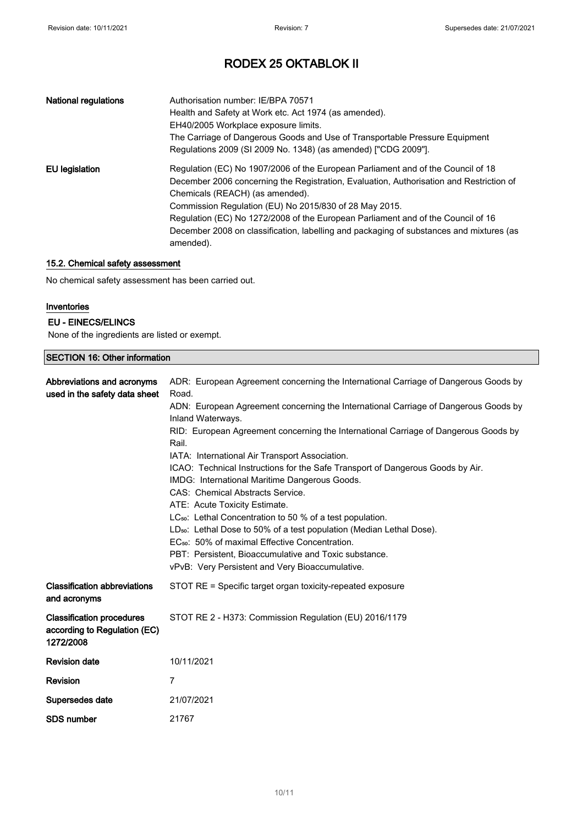| <b>National regulations</b> | Authorisation number: IE/BPA 70571<br>Health and Safety at Work etc. Act 1974 (as amended).<br>EH40/2005 Workplace exposure limits.<br>The Carriage of Dangerous Goods and Use of Transportable Pressure Equipment<br>Regulations 2009 (SI 2009 No. 1348) (as amended) ["CDG 2009"].                                                                                                                                                                                 |
|-----------------------------|----------------------------------------------------------------------------------------------------------------------------------------------------------------------------------------------------------------------------------------------------------------------------------------------------------------------------------------------------------------------------------------------------------------------------------------------------------------------|
| EU legislation              | Regulation (EC) No 1907/2006 of the European Parliament and of the Council of 18<br>December 2006 concerning the Registration, Evaluation, Authorisation and Restriction of<br>Chemicals (REACH) (as amended).<br>Commission Regulation (EU) No 2015/830 of 28 May 2015.<br>Regulation (EC) No 1272/2008 of the European Parliament and of the Council of 16<br>December 2008 on classification, labelling and packaging of substances and mixtures (as<br>amended). |

### 15.2. Chemical safety assessment

No chemical safety assessment has been carried out.

#### Inventories

#### EU - EINECS/ELINCS

None of the ingredients are listed or exempt.

#### SECTION 16: Other information

| Abbreviations and acronyms<br>used in the safety data sheet                   | ADR: European Agreement concerning the International Carriage of Dangerous Goods by<br>Road.<br>ADN: European Agreement concerning the International Carriage of Dangerous Goods by<br>Inland Waterways.<br>RID: European Agreement concerning the International Carriage of Dangerous Goods by<br>Rail.<br>IATA: International Air Transport Association.<br>ICAO: Technical Instructions for the Safe Transport of Dangerous Goods by Air.<br>IMDG: International Maritime Dangerous Goods.<br>CAS: Chemical Abstracts Service.<br>ATE: Acute Toxicity Estimate.<br>LC <sub>50</sub> : Lethal Concentration to 50 % of a test population.<br>LD <sub>50</sub> : Lethal Dose to 50% of a test population (Median Lethal Dose).<br>EC <sub>50</sub> : 50% of maximal Effective Concentration.<br>PBT: Persistent, Bioaccumulative and Toxic substance.<br>vPvB: Very Persistent and Very Bioaccumulative. |
|-------------------------------------------------------------------------------|-----------------------------------------------------------------------------------------------------------------------------------------------------------------------------------------------------------------------------------------------------------------------------------------------------------------------------------------------------------------------------------------------------------------------------------------------------------------------------------------------------------------------------------------------------------------------------------------------------------------------------------------------------------------------------------------------------------------------------------------------------------------------------------------------------------------------------------------------------------------------------------------------------------|
| <b>Classification abbreviations</b><br>and acronyms                           | STOT RE = Specific target organ toxicity-repeated exposure                                                                                                                                                                                                                                                                                                                                                                                                                                                                                                                                                                                                                                                                                                                                                                                                                                                |
| <b>Classification procedures</b><br>according to Regulation (EC)<br>1272/2008 | STOT RE 2 - H373: Commission Regulation (EU) 2016/1179                                                                                                                                                                                                                                                                                                                                                                                                                                                                                                                                                                                                                                                                                                                                                                                                                                                    |
| <b>Revision date</b>                                                          | 10/11/2021                                                                                                                                                                                                                                                                                                                                                                                                                                                                                                                                                                                                                                                                                                                                                                                                                                                                                                |
| Revision                                                                      | 7                                                                                                                                                                                                                                                                                                                                                                                                                                                                                                                                                                                                                                                                                                                                                                                                                                                                                                         |
| Supersedes date                                                               | 21/07/2021                                                                                                                                                                                                                                                                                                                                                                                                                                                                                                                                                                                                                                                                                                                                                                                                                                                                                                |
| <b>SDS number</b>                                                             | 21767                                                                                                                                                                                                                                                                                                                                                                                                                                                                                                                                                                                                                                                                                                                                                                                                                                                                                                     |